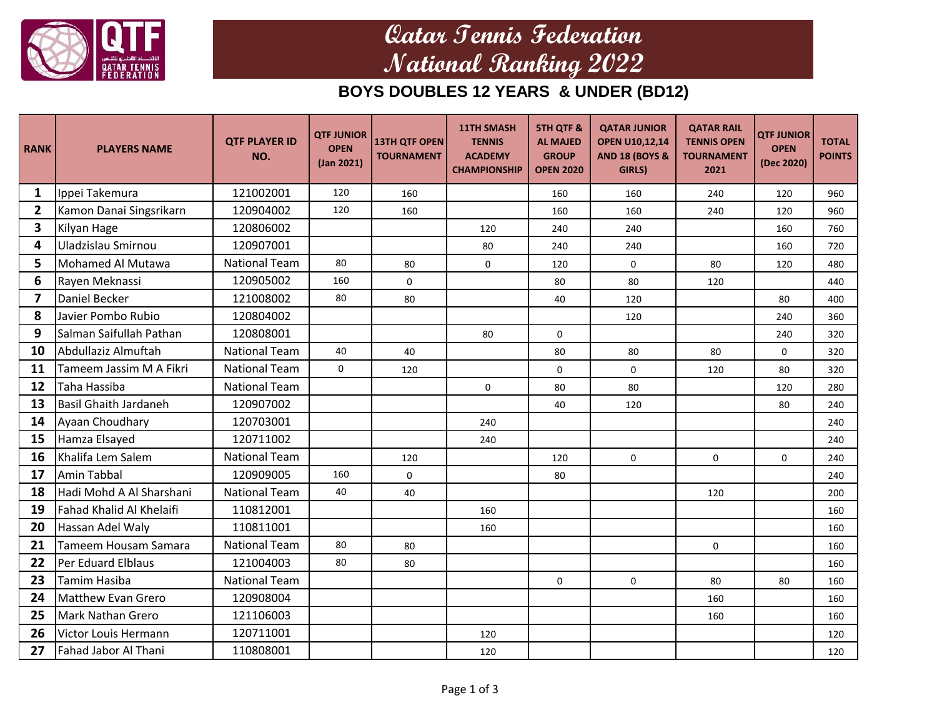

# **Qatar Tennis Federation National Ranking 2022**

#### **BOYS DOUBLES 12 YEARS & UNDER (BD12)**

| <b>RANK</b>    | <b>PLAYERS NAME</b>          | <b>QTF PLAYER ID</b><br>NO. | <b>QTF JUNIOR</b><br><b>OPEN</b><br>(Jan 2021) | <b>13TH QTF OPEN</b><br><b>TOURNAMENT</b> | <b>11TH SMASH</b><br><b>TENNIS</b><br><b>ACADEMY</b><br><b>CHAMPIONSHIP</b> | <b>5TH QTF &amp;</b><br><b>AL MAJED</b><br><b>GROUP</b><br><b>OPEN 2020</b> | <b>QATAR JUNIOR</b><br><b>OPEN U10,12,14</b><br><b>AND 18 (BOYS &amp;</b><br>GIRLS) | <b>QATAR RAIL</b><br><b>TENNIS OPEN</b><br><b>TOURNAMENT</b><br>2021 | <b>QTF JUNIOR</b><br><b>OPEN</b><br>(Dec 2020) | <b>TOTAL</b><br><b>POINTS</b> |
|----------------|------------------------------|-----------------------------|------------------------------------------------|-------------------------------------------|-----------------------------------------------------------------------------|-----------------------------------------------------------------------------|-------------------------------------------------------------------------------------|----------------------------------------------------------------------|------------------------------------------------|-------------------------------|
| 1              | Ippei Takemura               | 121002001                   | 120                                            | 160                                       |                                                                             | 160                                                                         | 160                                                                                 | 240                                                                  | 120                                            | 960                           |
| $\overline{2}$ | Kamon Danai Singsrikarn      | 120904002                   | 120                                            | 160                                       |                                                                             | 160                                                                         | 160                                                                                 | 240                                                                  | 120                                            | 960                           |
| 3              | Kilyan Hage                  | 120806002                   |                                                |                                           | 120                                                                         | 240                                                                         | 240                                                                                 |                                                                      | 160                                            | 760                           |
| 4              | Uladzislau Smirnou           | 120907001                   |                                                |                                           | 80                                                                          | 240                                                                         | 240                                                                                 |                                                                      | 160                                            | 720                           |
| 5              | Mohamed Al Mutawa            | <b>National Team</b>        | 80                                             | 80                                        | 0                                                                           | 120                                                                         | 0                                                                                   | 80                                                                   | 120                                            | 480                           |
| 6              | Rayen Meknassi               | 120905002                   | 160                                            | $\mathbf 0$                               |                                                                             | 80                                                                          | 80                                                                                  | 120                                                                  |                                                | 440                           |
| $\overline{7}$ | Daniel Becker                | 121008002                   | 80                                             | 80                                        |                                                                             | 40                                                                          | 120                                                                                 |                                                                      | 80                                             | 400                           |
| 8              | Javier Pombo Rubio           | 120804002                   |                                                |                                           |                                                                             |                                                                             | 120                                                                                 |                                                                      | 240                                            | 360                           |
| 9              | Salman Saifullah Pathan      | 120808001                   |                                                |                                           | 80                                                                          | 0                                                                           |                                                                                     |                                                                      | 240                                            | 320                           |
| 10             | Abdullaziz Almuftah          | <b>National Team</b>        | 40                                             | 40                                        |                                                                             | 80                                                                          | 80                                                                                  | 80                                                                   | 0                                              | 320                           |
| 11             | Tameem Jassim M A Fikri      | <b>National Team</b>        | $\mathbf 0$                                    | 120                                       |                                                                             | $\pmb{0}$                                                                   | $\mathbf 0$                                                                         | 120                                                                  | 80                                             | 320                           |
| 12             | Taha Hassiba                 | <b>National Team</b>        |                                                |                                           | 0                                                                           | 80                                                                          | 80                                                                                  |                                                                      | 120                                            | 280                           |
| 13             | <b>Basil Ghaith Jardaneh</b> | 120907002                   |                                                |                                           |                                                                             | 40                                                                          | 120                                                                                 |                                                                      | 80                                             | 240                           |
| 14             | Ayaan Choudhary              | 120703001                   |                                                |                                           | 240                                                                         |                                                                             |                                                                                     |                                                                      |                                                | 240                           |
| 15             | Hamza Elsayed                | 120711002                   |                                                |                                           | 240                                                                         |                                                                             |                                                                                     |                                                                      |                                                | 240                           |
| 16             | Khalifa Lem Salem            | <b>National Team</b>        |                                                | 120                                       |                                                                             | 120                                                                         | $\Omega$                                                                            | $\Omega$                                                             | $\Omega$                                       | 240                           |
| 17             | Amin Tabbal                  | 120909005                   | 160                                            | $\mathbf 0$                               |                                                                             | 80                                                                          |                                                                                     |                                                                      |                                                | 240                           |
| 18             | Hadi Mohd A Al Sharshani     | <b>National Team</b>        | 40                                             | 40                                        |                                                                             |                                                                             |                                                                                     | 120                                                                  |                                                | 200                           |
| 19             | Fahad Khalid Al Khelaifi     | 110812001                   |                                                |                                           | 160                                                                         |                                                                             |                                                                                     |                                                                      |                                                | 160                           |
| 20             | Hassan Adel Waly             | 110811001                   |                                                |                                           | 160                                                                         |                                                                             |                                                                                     |                                                                      |                                                | 160                           |
| 21             | Tameem Housam Samara         | <b>National Team</b>        | 80                                             | 80                                        |                                                                             |                                                                             |                                                                                     | 0                                                                    |                                                | 160                           |
| 22             | <b>Per Eduard Elblaus</b>    | 121004003                   | 80                                             | 80                                        |                                                                             |                                                                             |                                                                                     |                                                                      |                                                | 160                           |
| 23             | <b>Tamim Hasiba</b>          | <b>National Team</b>        |                                                |                                           |                                                                             | $\mathbf 0$                                                                 | $\mathbf 0$                                                                         | 80                                                                   | 80                                             | 160                           |
| 24             | <b>Matthew Evan Grero</b>    | 120908004                   |                                                |                                           |                                                                             |                                                                             |                                                                                     | 160                                                                  |                                                | 160                           |
| 25             | <b>Mark Nathan Grero</b>     | 121106003                   |                                                |                                           |                                                                             |                                                                             |                                                                                     | 160                                                                  |                                                | 160                           |
| 26             | Victor Louis Hermann         | 120711001                   |                                                |                                           | 120                                                                         |                                                                             |                                                                                     |                                                                      |                                                | 120                           |
| 27             | Fahad Jabor Al Thani         | 110808001                   |                                                |                                           | 120                                                                         |                                                                             |                                                                                     |                                                                      |                                                | 120                           |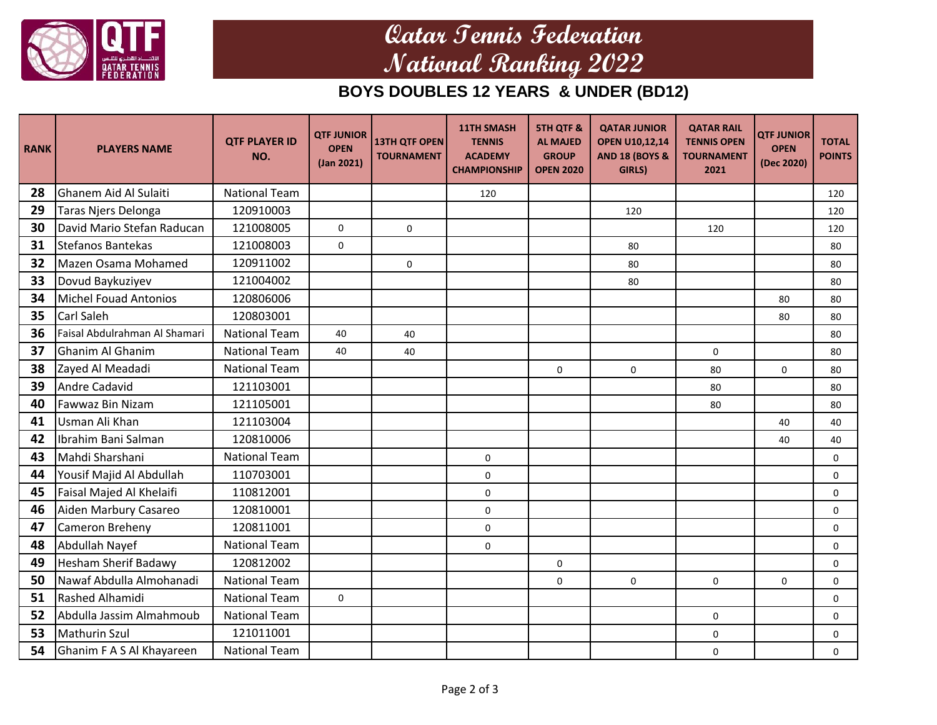

# **Qatar Tennis Federation National Ranking 2022**

#### **BOYS DOUBLES 12 YEARS & UNDER (BD12)**

| <b>RANK</b> | <b>PLAYERS NAME</b>           | <b>QTF PLAYER ID</b><br>NO. | <b>QTF JUNIOR</b><br><b>OPEN</b><br>(Jan 2021) | <b>13TH QTF OPEN</b><br><b>TOURNAMENT</b> | <b>11TH SMASH</b><br><b>TENNIS</b><br><b>ACADEMY</b><br><b>CHAMPIONSHIP</b> | <b>5TH QTF &amp;</b><br><b>AL MAJED</b><br><b>GROUP</b><br><b>OPEN 2020</b> | <b>QATAR JUNIOR</b><br><b>OPEN U10,12,14</b><br><b>AND 18 (BOYS &amp;</b><br>GIRLS) | <b>QATAR RAIL</b><br><b>TENNIS OPEN</b><br><b>TOURNAMENT</b><br>2021 | <b>QTF JUNIOR</b><br><b>OPEN</b><br>(Dec 2020) | <b>TOTAL</b><br><b>POINTS</b> |
|-------------|-------------------------------|-----------------------------|------------------------------------------------|-------------------------------------------|-----------------------------------------------------------------------------|-----------------------------------------------------------------------------|-------------------------------------------------------------------------------------|----------------------------------------------------------------------|------------------------------------------------|-------------------------------|
| 28          | <b>Ghanem Aid Al Sulaiti</b>  | <b>National Team</b>        |                                                |                                           | 120                                                                         |                                                                             |                                                                                     |                                                                      |                                                | 120                           |
| 29          | Taras Njers Delonga           | 120910003                   |                                                |                                           |                                                                             |                                                                             | 120                                                                                 |                                                                      |                                                | 120                           |
| 30          | David Mario Stefan Raducan    | 121008005                   | 0                                              | $\Omega$                                  |                                                                             |                                                                             |                                                                                     | 120                                                                  |                                                | 120                           |
| 31          | Stefanos Bantekas             | 121008003                   | $\mathbf 0$                                    |                                           |                                                                             |                                                                             | 80                                                                                  |                                                                      |                                                | 80                            |
| 32          | Mazen Osama Mohamed           | 120911002                   |                                                | 0                                         |                                                                             |                                                                             | 80                                                                                  |                                                                      |                                                | 80                            |
| 33          | Dovud Baykuziyev              | 121004002                   |                                                |                                           |                                                                             |                                                                             | 80                                                                                  |                                                                      |                                                | 80                            |
| 34          | Michel Fouad Antonios         | 120806006                   |                                                |                                           |                                                                             |                                                                             |                                                                                     |                                                                      | 80                                             | 80                            |
| 35          | Carl Saleh                    | 120803001                   |                                                |                                           |                                                                             |                                                                             |                                                                                     |                                                                      | 80                                             | 80                            |
| 36          | Faisal Abdulrahman Al Shamari | <b>National Team</b>        | 40                                             | 40                                        |                                                                             |                                                                             |                                                                                     |                                                                      |                                                | 80                            |
| 37          | Ghanim Al Ghanim              | <b>National Team</b>        | 40                                             | 40                                        |                                                                             |                                                                             |                                                                                     | 0                                                                    |                                                | 80                            |
| 38          | Zayed Al Meadadi              | <b>National Team</b>        |                                                |                                           |                                                                             | 0                                                                           | $\mathbf 0$                                                                         | 80                                                                   | $\mathbf 0$                                    | 80                            |
| 39          | Andre Cadavid                 | 121103001                   |                                                |                                           |                                                                             |                                                                             |                                                                                     | 80                                                                   |                                                | 80                            |
| 40          | Fawwaz Bin Nizam              | 121105001                   |                                                |                                           |                                                                             |                                                                             |                                                                                     | 80                                                                   |                                                | 80                            |
| 41          | Usman Ali Khan                | 121103004                   |                                                |                                           |                                                                             |                                                                             |                                                                                     |                                                                      | 40                                             | 40                            |
| 42          | Ibrahim Bani Salman           | 120810006                   |                                                |                                           |                                                                             |                                                                             |                                                                                     |                                                                      | 40                                             | 40                            |
| 43          | Mahdi Sharshani               | <b>National Team</b>        |                                                |                                           | $\mathbf 0$                                                                 |                                                                             |                                                                                     |                                                                      |                                                | $\mathbf 0$                   |
| 44          | Yousif Majid Al Abdullah      | 110703001                   |                                                |                                           | 0                                                                           |                                                                             |                                                                                     |                                                                      |                                                | $\mathbf 0$                   |
| 45          | Faisal Majed Al Khelaifi      | 110812001                   |                                                |                                           | $\mathbf 0$                                                                 |                                                                             |                                                                                     |                                                                      |                                                | $\Omega$                      |
| 46          | Aiden Marbury Casareo         | 120810001                   |                                                |                                           | $\mathsf{O}\xspace$                                                         |                                                                             |                                                                                     |                                                                      |                                                | 0                             |
| 47          | <b>Cameron Breheny</b>        | 120811001                   |                                                |                                           | $\mathsf{O}\xspace$                                                         |                                                                             |                                                                                     |                                                                      |                                                | 0                             |
| 48          | Abdullah Nayef                | <b>National Team</b>        |                                                |                                           | $\mathbf 0$                                                                 |                                                                             |                                                                                     |                                                                      |                                                | $\mathbf 0$                   |
| 49          | Hesham Sherif Badawy          | 120812002                   |                                                |                                           |                                                                             | $\mathsf 0$                                                                 |                                                                                     |                                                                      |                                                | $\mathbf 0$                   |
| 50          | Nawaf Abdulla Almohanadi      | <b>National Team</b>        |                                                |                                           |                                                                             | 0                                                                           | $\Omega$                                                                            | 0                                                                    | $\mathbf 0$                                    | $\Omega$                      |
| 51          | Rashed Alhamidi               | <b>National Team</b>        | 0                                              |                                           |                                                                             |                                                                             |                                                                                     |                                                                      |                                                | $\mathbf 0$                   |
| 52          | Abdulla Jassim Almahmoub      | <b>National Team</b>        |                                                |                                           |                                                                             |                                                                             |                                                                                     | 0                                                                    |                                                | 0                             |
| 53          | <b>Mathurin Szul</b>          | 121011001                   |                                                |                                           |                                                                             |                                                                             |                                                                                     | 0                                                                    |                                                | 0                             |
| 54          | Ghanim F A S Al Khayareen     | <b>National Team</b>        |                                                |                                           |                                                                             |                                                                             |                                                                                     | $\mathbf 0$                                                          |                                                | $\mathbf 0$                   |